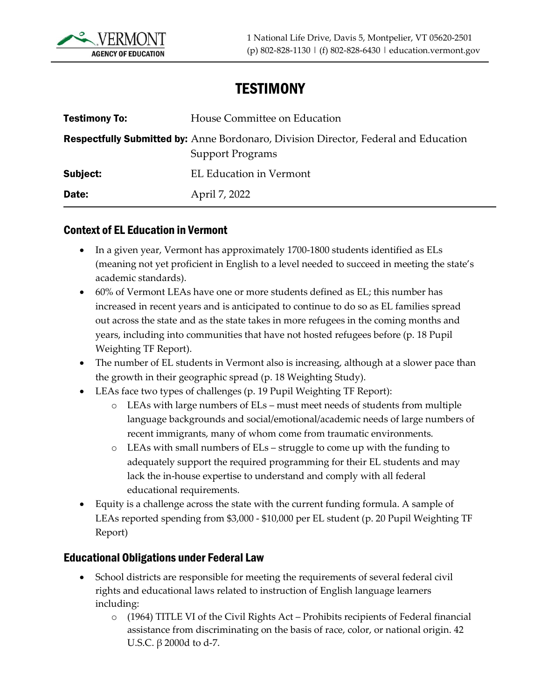

# **TESTIMONY**

| <b>Testimony To:</b> | House Committee on Education                                                                                          |
|----------------------|-----------------------------------------------------------------------------------------------------------------------|
|                      | <b>Respectfully Submitted by:</b> Anne Bordonaro, Division Director, Federal and Education<br><b>Support Programs</b> |
| Subject:             | <b>EL Education in Vermont</b>                                                                                        |
| Date:                | April 7, 2022                                                                                                         |

### Context of EL Education in Vermont

- In a given year, Vermont has approximately 1700-1800 students identified as ELs (meaning not yet proficient in English to a level needed to succeed in meeting the state's academic standards).
- 60% of Vermont LEAs have one or more students defined as EL; this number has increased in recent years and is anticipated to continue to do so as EL families spread out across the state and as the state takes in more refugees in the coming months and years, including into communities that have not hosted refugees before (p. 18 Pupil Weighting TF Report).
- The number of EL students in Vermont also is increasing, although at a slower pace than the growth in their geographic spread (p. 18 Weighting Study).
- LEAs face two types of challenges (p. 19 Pupil Weighting TF Report):
	- o LEAs with large numbers of ELs must meet needs of students from multiple language backgrounds and social/emotional/academic needs of large numbers of recent immigrants, many of whom come from traumatic environments.
	- o LEAs with small numbers of ELs struggle to come up with the funding to adequately support the required programming for their EL students and may lack the in-house expertise to understand and comply with all federal educational requirements.
- Equity is a challenge across the state with the current funding formula. A sample of LEAs reported spending from \$3,000 - \$10,000 per EL student (p. 20 Pupil Weighting TF Report)

### Educational Obligations under Federal Law

- School districts are responsible for meeting the requirements of several federal civil rights and educational laws related to instruction of English language learners including:
	- $\circ$  (1964) TITLE VI of the Civil Rights Act Prohibits recipients of Federal financial assistance from discriminating on the basis of race, color, or national origin. 42 U.S.C.  $\beta$  2000d to d-7.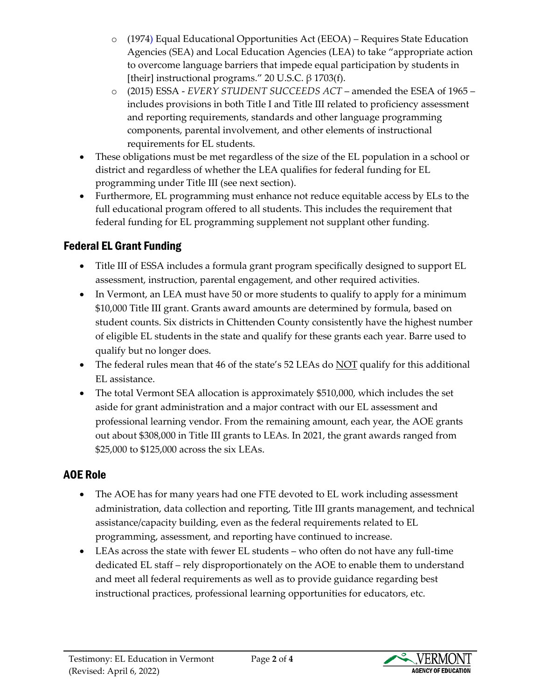- o (1974) Equal Educational Opportunities Act (EEOA) Requires State Education Agencies (SEA) and Local Education Agencies (LEA) to take "appropriate action to overcome language barriers that impede equal participation by students in [their] instructional programs." 20 U.S.C.  $\beta$  1703(f).
- o (2015) ESSA *EVERY STUDENT SUCCEEDS ACT*  amended the ESEA of 1965 includes provisions in both Title I and Title III related to proficiency assessment and reporting requirements, standards and other language programming components, parental involvement, and other elements of instructional requirements for EL students.
- These obligations must be met regardless of the size of the EL population in a school or district and regardless of whether the LEA qualifies for federal funding for EL programming under Title III (see next section).
- Furthermore, EL programming must enhance not reduce equitable access by ELs to the full educational program offered to all students. This includes the requirement that federal funding for EL programming supplement not supplant other funding.

## Federal EL Grant Funding

- Title III of ESSA includes a formula grant program specifically designed to support EL assessment, instruction, parental engagement, and other required activities.
- In Vermont, an LEA must have 50 or more students to qualify to apply for a minimum \$10,000 Title III grant. Grants award amounts are determined by formula, based on student counts. Six districts in Chittenden County consistently have the highest number of eligible EL students in the state and qualify for these grants each year. Barre used to qualify but no longer does.
- The federal rules mean that 46 of the state's 52 LEAs do NOT qualify for this additional EL assistance.
- The total Vermont SEA allocation is approximately \$510,000, which includes the set aside for grant administration and a major contract with our EL assessment and professional learning vendor. From the remaining amount, each year, the AOE grants out about \$308,000 in Title III grants to LEAs. In 2021, the grant awards ranged from \$25,000 to \$125,000 across the six LEAs.

### AOE Role

- The AOE has for many years had one FTE devoted to EL work including assessment administration, data collection and reporting, Title III grants management, and technical assistance/capacity building, even as the federal requirements related to EL programming, assessment, and reporting have continued to increase.
- LEAs across the state with fewer EL students who often do not have any full-time dedicated EL staff – rely disproportionately on the AOE to enable them to understand and meet all federal requirements as well as to provide guidance regarding best instructional practices, professional learning opportunities for educators, etc.

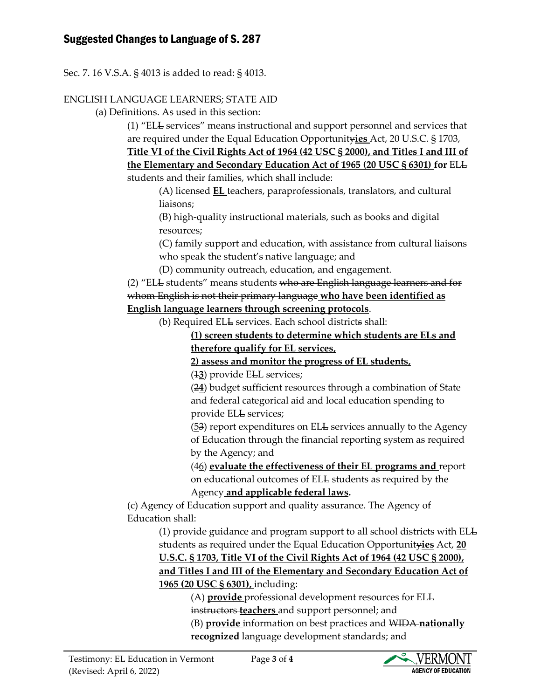### Suggested Changes to Language of S. 287

Sec. 7. 16 V.S.A. § 4013 is added to read: § 4013.

#### ENGLISH LANGUAGE LEARNERS; STATE AID

(a) Definitions. As used in this section:

(1) "ELL services" means instructional and support personnel and services that are required under the Equal Education Opportunity**ies** Act, 20 U.S.C. § 1703,

**Title VI of the Civil Rights Act of 1964 (42 USC § 2000), and Titles I and III of the Elementary and Secondary Education Act of 1965 (20 USC § 6301) for** ELL students and their families, which shall include:

(A) licensed **EL** teachers, paraprofessionals, translators, and cultural liaisons;

(B) high-quality instructional materials, such as books and digital resources;

(C) family support and education, with assistance from cultural liaisons who speak the student's native language; and

(D) community outreach, education, and engagement.

(2) "ELL students" means students who are English language learners and for whom English is not their primary language **who have been identified as English language learners through screening protocols**.

(b) Required ELL services. Each school districts shall:

**(1) screen students to determine which students are ELs and therefore qualify for EL services,** 

**2) assess and monitor the progress of EL students,** 

(1**3**) provide ELL services;

(2**4**) budget sufficient resources through a combination of State and federal categorical aid and local education spending to provide ELL services;

(53) report expenditures on ELL services annually to the Agency of Education through the financial reporting system as required by the Agency; and

(46) **evaluate the effectiveness of their EL programs and** report on educational outcomes of ELL students as required by the Agency **and applicable federal laws.**

(c) Agency of Education support and quality assurance. The Agency of Education shall:

(1) provide guidance and program support to all school districts with ELL students as required under the Equal Education Opportunity**ies** Act, **20 U.S.C. § 1703, Title VI of the Civil Rights Act of 1964 (42 USC § 2000), and Titles I and III of the Elementary and Secondary Education Act of 1965 (20 USC § 6301),** including:

(A) **provide** professional development resources for ELL instructors **teachers** and support personnel; and (B) **provide** information on best practices and WIDA **nationally recognized** language development standards; and